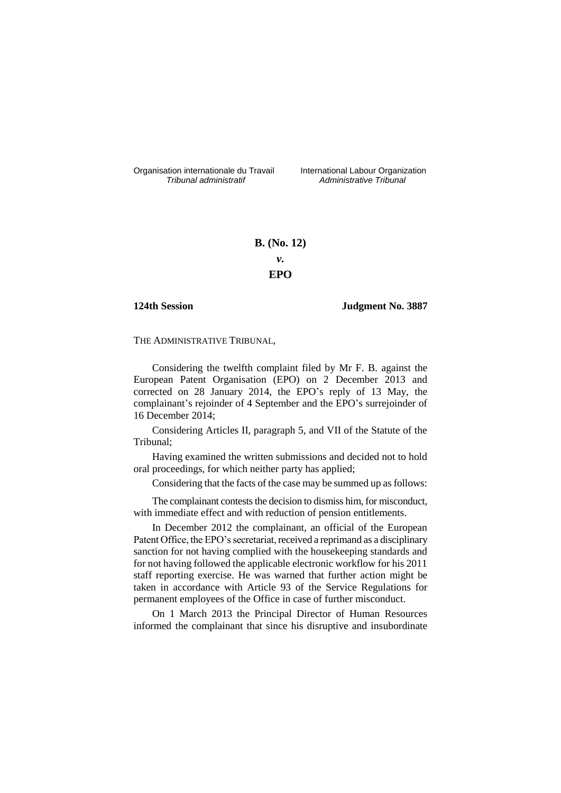Organisation internationale du Travail International Labour Organization<br>*Tribunal administratif Administrative Tribunal* 

*Tribunal administratif Administrative Tribunal*

# **B. (No. 12)** *v.* **EPO**

## **124th Session Judgment No. 3887**

THE ADMINISTRATIVE TRIBUNAL,

Considering the twelfth complaint filed by Mr F. B. against the European Patent Organisation (EPO) on 2 December 2013 and corrected on 28 January 2014, the EPO's reply of 13 May, the complainant's rejoinder of 4 September and the EPO's surrejoinder of 16 December 2014;

Considering Articles II, paragraph 5, and VII of the Statute of the Tribunal;

Having examined the written submissions and decided not to hold oral proceedings, for which neither party has applied;

Considering that the facts of the case may be summed up as follows:

The complainant contests the decision to dismiss him, for misconduct, with immediate effect and with reduction of pension entitlements.

In December 2012 the complainant, an official of the European Patent Office, the EPO's secretariat, received a reprimand as a disciplinary sanction for not having complied with the housekeeping standards and for not having followed the applicable electronic workflow for his 2011 staff reporting exercise. He was warned that further action might be taken in accordance with Article 93 of the Service Regulations for permanent employees of the Office in case of further misconduct.

On 1 March 2013 the Principal Director of Human Resources informed the complainant that since his disruptive and insubordinate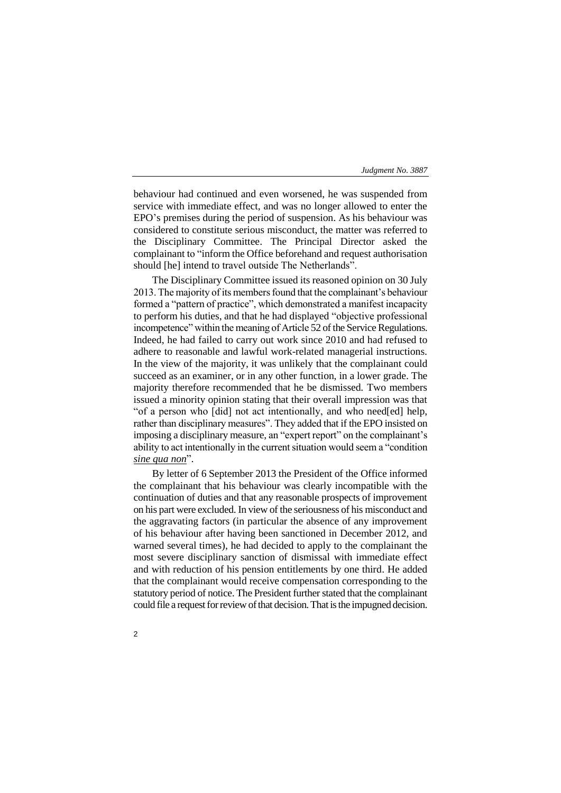behaviour had continued and even worsened, he was suspended from service with immediate effect, and was no longer allowed to enter the EPO's premises during the period of suspension. As his behaviour was considered to constitute serious misconduct, the matter was referred to the Disciplinary Committee. The Principal Director asked the complainant to "inform the Office beforehand and request authorisation should [he] intend to travel outside The Netherlands".

The Disciplinary Committee issued its reasoned opinion on 30 July 2013. The majority of its members found that the complainant's behaviour formed a "pattern of practice", which demonstrated a manifest incapacity to perform his duties, and that he had displayed "objective professional incompetence" within the meaning of Article 52 of the Service Regulations. Indeed, he had failed to carry out work since 2010 and had refused to adhere to reasonable and lawful work-related managerial instructions. In the view of the majority, it was unlikely that the complainant could succeed as an examiner, or in any other function, in a lower grade. The majority therefore recommended that he be dismissed. Two members issued a minority opinion stating that their overall impression was that "of a person who [did] not act intentionally, and who need[ed] help, rather than disciplinary measures". They added that if the EPO insisted on imposing a disciplinary measure, an "expert report" on the complainant's ability to act intentionally in the current situation would seem a "condition *sine qua non*".

By letter of 6 September 2013 the President of the Office informed the complainant that his behaviour was clearly incompatible with the continuation of duties and that any reasonable prospects of improvement on his part were excluded. In view of the seriousness of his misconduct and the aggravating factors (in particular the absence of any improvement of his behaviour after having been sanctioned in December 2012, and warned several times), he had decided to apply to the complainant the most severe disciplinary sanction of dismissal with immediate effect and with reduction of his pension entitlements by one third. He added that the complainant would receive compensation corresponding to the statutory period of notice. The President further stated that the complainant could file a request for review of that decision. That is the impugned decision.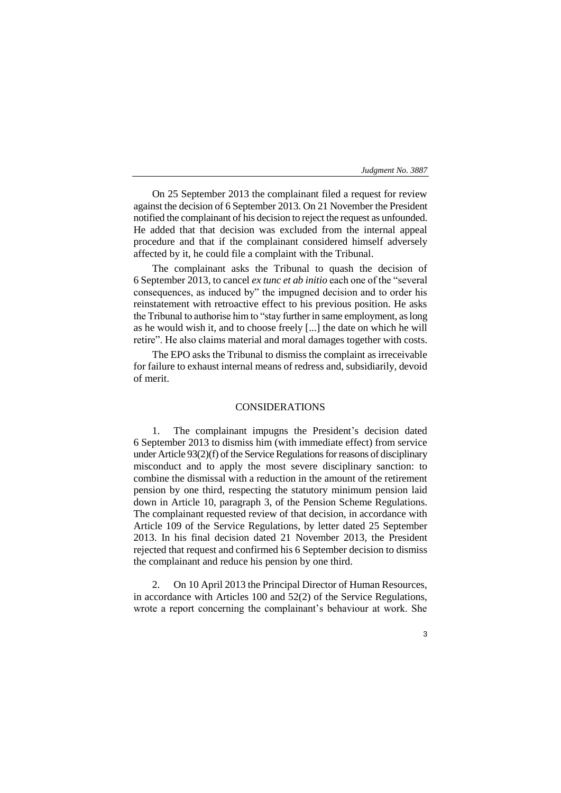On 25 September 2013 the complainant filed a request for review against the decision of 6 September 2013. On 21 November the President notified the complainant of his decision to reject the request as unfounded. He added that that decision was excluded from the internal appeal procedure and that if the complainant considered himself adversely affected by it, he could file a complaint with the Tribunal.

The complainant asks the Tribunal to quash the decision of 6 September 2013, to cancel *ex tunc et ab initio* each one of the "several consequences, as induced by" the impugned decision and to order his reinstatement with retroactive effect to his previous position. He asks the Tribunal to authorise him to "stay further in same employment, as long as he would wish it, and to choose freely [...] the date on which he will retire". He also claims material and moral damages together with costs.

The EPO asks the Tribunal to dismiss the complaint as irreceivable for failure to exhaust internal means of redress and, subsidiarily, devoid of merit.

## CONSIDERATIONS

1. The complainant impugns the President's decision dated 6 September 2013 to dismiss him (with immediate effect) from service under Article 93(2)(f) of the Service Regulations for reasons of disciplinary misconduct and to apply the most severe disciplinary sanction: to combine the dismissal with a reduction in the amount of the retirement pension by one third, respecting the statutory minimum pension laid down in Article 10, paragraph 3, of the Pension Scheme Regulations. The complainant requested review of that decision, in accordance with Article 109 of the Service Regulations, by letter dated 25 September 2013. In his final decision dated 21 November 2013, the President rejected that request and confirmed his 6 September decision to dismiss the complainant and reduce his pension by one third.

2. On 10 April 2013 the Principal Director of Human Resources, in accordance with Articles 100 and 52(2) of the Service Regulations, wrote a report concerning the complainant's behaviour at work. She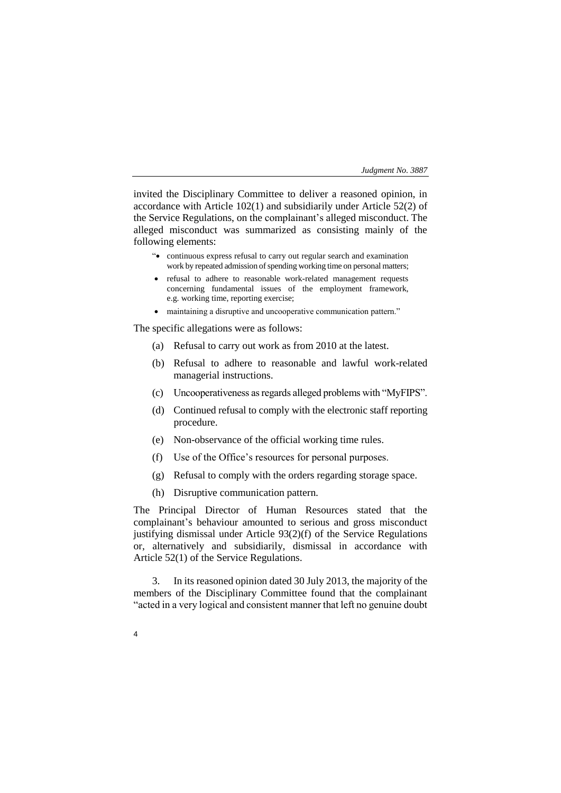invited the Disciplinary Committee to deliver a reasoned opinion, in accordance with Article 102(1) and subsidiarily under Article 52(2) of the Service Regulations, on the complainant's alleged misconduct. The alleged misconduct was summarized as consisting mainly of the following elements:

- "• continuous express refusal to carry out regular search and examination work by repeated admission of spending working time on personal matters;
- refusal to adhere to reasonable work-related management requests concerning fundamental issues of the employment framework, e.g. working time, reporting exercise;
- maintaining a disruptive and uncooperative communication pattern."

The specific allegations were as follows:

- (a) Refusal to carry out work as from 2010 at the latest.
- (b) Refusal to adhere to reasonable and lawful work-related managerial instructions.
- (c) Uncooperativeness as regards alleged problems with "MyFIPS".
- (d) Continued refusal to comply with the electronic staff reporting procedure.
- (e) Non-observance of the official working time rules.
- (f) Use of the Office's resources for personal purposes.
- (g) Refusal to comply with the orders regarding storage space.
- (h) Disruptive communication pattern.

4

The Principal Director of Human Resources stated that the complainant's behaviour amounted to serious and gross misconduct justifying dismissal under Article 93(2)(f) of the Service Regulations or, alternatively and subsidiarily, dismissal in accordance with Article 52(1) of the Service Regulations.

3. In its reasoned opinion dated 30 July 2013, the majority of the members of the Disciplinary Committee found that the complainant "acted in a very logical and consistent manner that left no genuine doubt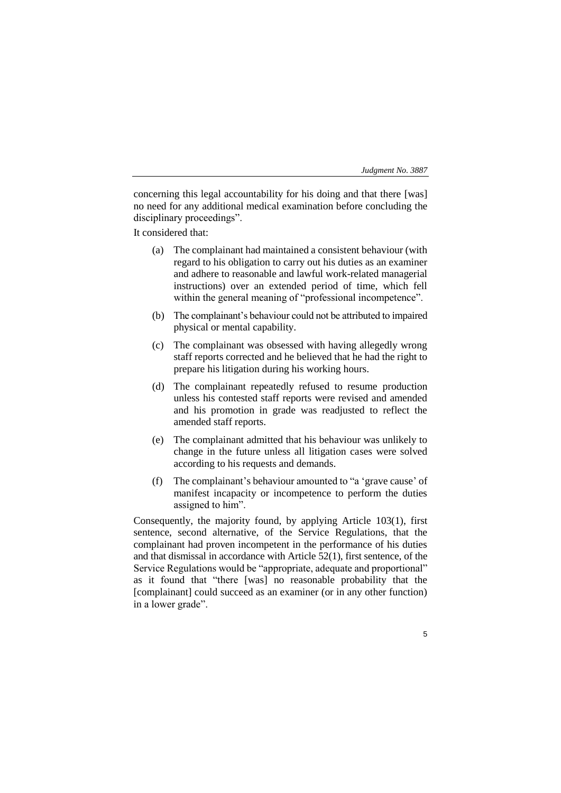5

concerning this legal accountability for his doing and that there [was] no need for any additional medical examination before concluding the disciplinary proceedings".

It considered that:

- (a) The complainant had maintained a consistent behaviour (with regard to his obligation to carry out his duties as an examiner and adhere to reasonable and lawful work-related managerial instructions) over an extended period of time, which fell within the general meaning of "professional incompetence".
- (b) The complainant's behaviour could not be attributed to impaired physical or mental capability.
- (c) The complainant was obsessed with having allegedly wrong staff reports corrected and he believed that he had the right to prepare his litigation during his working hours.
- (d) The complainant repeatedly refused to resume production unless his contested staff reports were revised and amended and his promotion in grade was readjusted to reflect the amended staff reports.
- (e) The complainant admitted that his behaviour was unlikely to change in the future unless all litigation cases were solved according to his requests and demands.
- (f) The complainant's behaviour amounted to "a 'grave cause' of manifest incapacity or incompetence to perform the duties assigned to him".

Consequently, the majority found, by applying Article 103(1), first sentence, second alternative, of the Service Regulations, that the complainant had proven incompetent in the performance of his duties and that dismissal in accordance with Article 52(1), first sentence, of the Service Regulations would be "appropriate, adequate and proportional" as it found that "there [was] no reasonable probability that the [complainant] could succeed as an examiner (or in any other function) in a lower grade".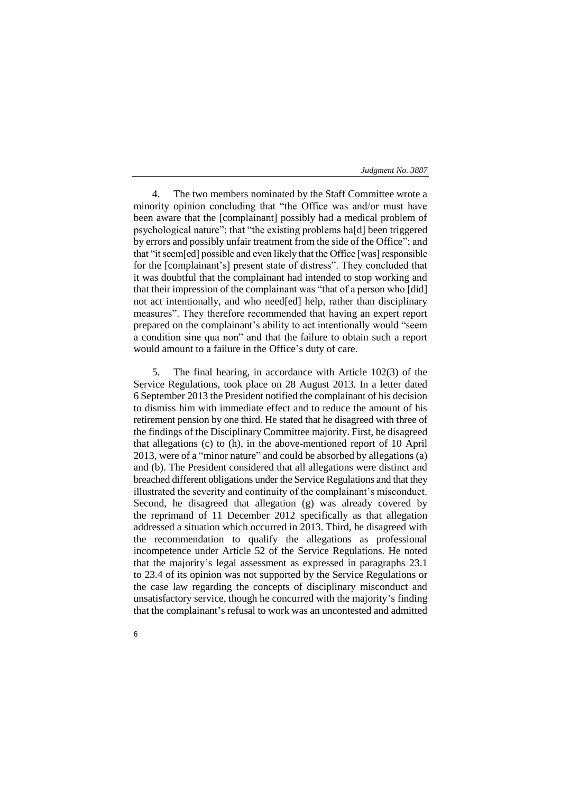4. The two members nominated by the Staff Committee wrote a minority opinion concluding that "the Office was and/or must have been aware that the [complainant] possibly had a medical problem of psychological nature"; that "the existing problems ha[d] been triggered by errors and possibly unfair treatment from the side of the Office"; and that "it seem[ed] possible and even likely that the Office [was] responsible for the [complainant's] present state of distress". They concluded that it was doubtful that the complainant had intended to stop working and that their impression of the complainant was "that of a person who [did] not act intentionally, and who need[ed] help, rather than disciplinary measures". They therefore recommended that having an expert report prepared on the complainant's ability to act intentionally would "seem a condition sine qua non" and that the failure to obtain such a report would amount to a failure in the Office's duty of care.

5. The final hearing, in accordance with Article 102(3) of the Service Regulations, took place on 28 August 2013. In a letter dated 6 September 2013 the President notified the complainant of his decision to dismiss him with immediate effect and to reduce the amount of his retirement pension by one third. He stated that he disagreed with three of the findings of the Disciplinary Committee majority. First, he disagreed that allegations (c) to (h), in the above-mentioned report of 10 April 2013, were of a "minor nature" and could be absorbed by allegations (a) and (b). The President considered that all allegations were distinct and breached different obligations under the Service Regulations and that they illustrated the severity and continuity of the complainant's misconduct. Second, he disagreed that allegation (g) was already covered by the reprimand of 11 December 2012 specifically as that allegation addressed a situation which occurred in 2013. Third, he disagreed with the recommendation to qualify the allegations as professional incompetence under Article 52 of the Service Regulations. He noted that the majority's legal assessment as expressed in paragraphs 23.1 to 23.4 of its opinion was not supported by the Service Regulations or the case law regarding the concepts of disciplinary misconduct and unsatisfactory service, though he concurred with the majority's finding that the complainant's refusal to work was an uncontested and admitted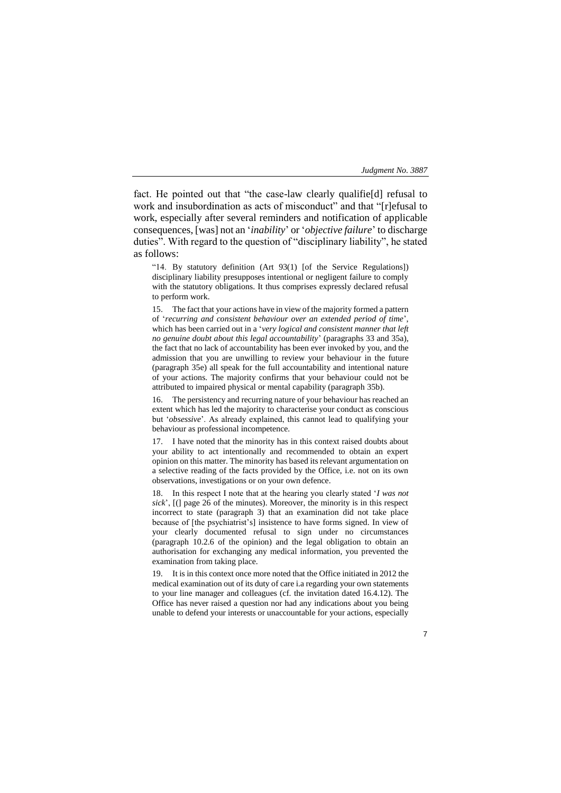fact. He pointed out that "the case-law clearly qualifie[d] refusal to work and insubordination as acts of misconduct" and that "[r]efusal to work, especially after several reminders and notification of applicable consequences, [was] not an '*inability*' or '*objective failure*' to discharge duties". With regard to the question of "disciplinary liability", he stated as follows:

"14. By statutory definition (Art 93(1) [of the Service Regulations]) disciplinary liability presupposes intentional or negligent failure to comply with the statutory obligations. It thus comprises expressly declared refusal to perform work.

15. The fact that your actions have in view of the majority formed a pattern of '*recurring and consistent behaviour over an extended period of time*', which has been carried out in a '*very logical and consistent manner that left no genuine doubt about this legal accountability*' (paragraphs 33 and 35a), the fact that no lack of accountability has been ever invoked by you, and the admission that you are unwilling to review your behaviour in the future (paragraph 35e) all speak for the full accountability and intentional nature of your actions. The majority confirms that your behaviour could not be attributed to impaired physical or mental capability (paragraph 35b).

16. The persistency and recurring nature of your behaviour has reached an extent which has led the majority to characterise your conduct as conscious but '*obsessive*'. As already explained, this cannot lead to qualifying your behaviour as professional incompetence.

I have noted that the minority has in this context raised doubts about your ability to act intentionally and recommended to obtain an expert opinion on this matter. The minority has based its relevant argumentation on a selective reading of the facts provided by the Office, i.e. not on its own observations, investigations or on your own defence.

18. In this respect I note that at the hearing you clearly stated '*I was not sick*', [(] page 26 of the minutes). Moreover, the minority is in this respect incorrect to state (paragraph 3) that an examination did not take place because of [the psychiatrist's] insistence to have forms signed. In view of your clearly documented refusal to sign under no circumstances (paragraph 10.2.6 of the opinion) and the legal obligation to obtain an authorisation for exchanging any medical information, you prevented the examination from taking place.

It is in this context once more noted that the Office initiated in 2012 the medical examination out of its duty of care i.a regarding your own statements to your line manager and colleagues (cf. the invitation dated 16.4.12). The Office has never raised a question nor had any indications about you being unable to defend your interests or unaccountable for your actions, especially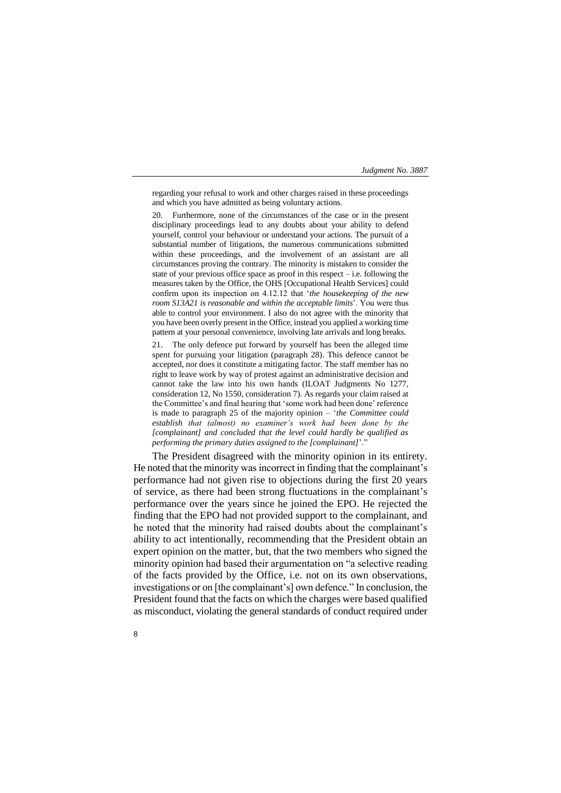regarding your refusal to work and other charges raised in these proceedings and which you have admitted as being voluntary actions.

20. Furthermore, none of the circumstances of the case or in the present disciplinary proceedings lead to any doubts about your ability to defend yourself, control your behaviour or understand your actions. The pursuit of a substantial number of litigations, the numerous communications submitted within these proceedings, and the involvement of an assistant are all circumstances proving the contrary. The minority is mistaken to consider the state of your previous office space as proof in this respect  $-$  i.e. following the measures taken by the Office, the OHS [Occupational Health Services] could confirm upon its inspection on 4.12.12 that '*the housekeeping of the new room S13A21 is reasonable and within the acceptable limits*'. You were thus able to control your environment. I also do not agree with the minority that you have been overly present in the Office, instead you applied a working time pattern at your personal convenience, involving late arrivals and long breaks.

21. The only defence put forward by yourself has been the alleged time spent for pursuing your litigation (paragraph 28). This defence cannot be accepted, nor does it constitute a mitigating factor. The staff member has no right to leave work by way of protest against an administrative decision and cannot take the law into his own hands (ILOAT Judgments No 1277, consideration 12, No 1550, consideration 7). As regards your claim raised at the Committee's and final hearing that 'some work had been done' reference is made to paragraph 25 of the majority opinion – '*the Committee could establish that (almost) no examiner's work had been done by the [complainant] and concluded that the level could hardly be qualified as performing the primary duties assigned to the [complainant]'*.

The President disagreed with the minority opinion in its entirety. He noted that the minority was incorrect in finding that the complainant's performance had not given rise to objections during the first 20 years of service, as there had been strong fluctuations in the complainant's performance over the years since he joined the EPO. He rejected the finding that the EPO had not provided support to the complainant, and he noted that the minority had raised doubts about the complainant's ability to act intentionally, recommending that the President obtain an expert opinion on the matter, but, that the two members who signed the minority opinion had based their argumentation on "a selective reading of the facts provided by the Office, i.e. not on its own observations, investigations or on [the complainant's] own defence." In conclusion, the President found that the facts on which the charges were based qualified as misconduct, violating the general standards of conduct required under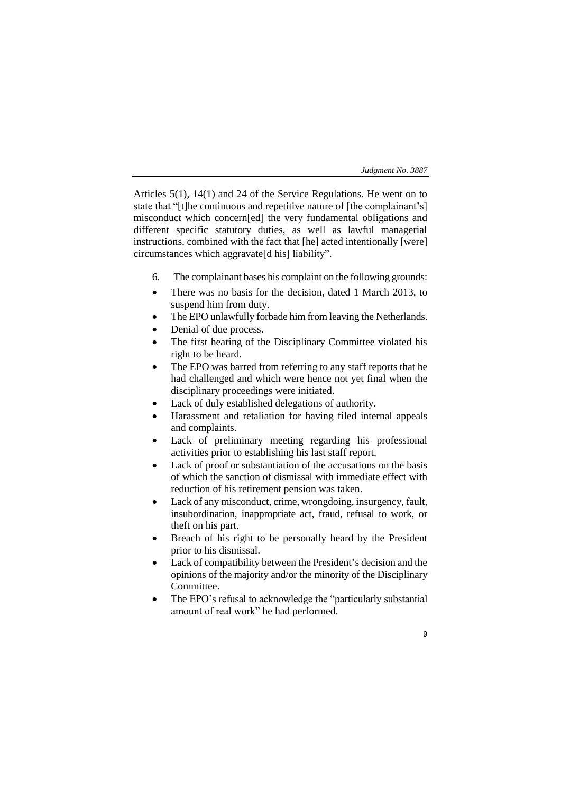9

Articles 5(1), 14(1) and 24 of the Service Regulations. He went on to state that "[t]he continuous and repetitive nature of [the complainant's] misconduct which concern[ed] the very fundamental obligations and different specific statutory duties, as well as lawful managerial instructions, combined with the fact that [he] acted intentionally [were] circumstances which aggravate[d his] liability".

- 6. The complainant bases his complaint on the following grounds:
- There was no basis for the decision, dated 1 March 2013, to suspend him from duty.
- The EPO unlawfully forbade him from leaving the Netherlands.
- Denial of due process.
- The first hearing of the Disciplinary Committee violated his right to be heard.
- The EPO was barred from referring to any staff reports that he had challenged and which were hence not yet final when the disciplinary proceedings were initiated.
- Lack of duly established delegations of authority.
- Harassment and retaliation for having filed internal appeals and complaints.
- Lack of preliminary meeting regarding his professional activities prior to establishing his last staff report.
- Lack of proof or substantiation of the accusations on the basis of which the sanction of dismissal with immediate effect with reduction of his retirement pension was taken.
- Lack of any misconduct, crime, wrongdoing, insurgency, fault, insubordination, inappropriate act, fraud, refusal to work, or theft on his part.
- Breach of his right to be personally heard by the President prior to his dismissal.
- Lack of compatibility between the President's decision and the opinions of the majority and/or the minority of the Disciplinary Committee.
- The EPO's refusal to acknowledge the "particularly substantial amount of real work" he had performed.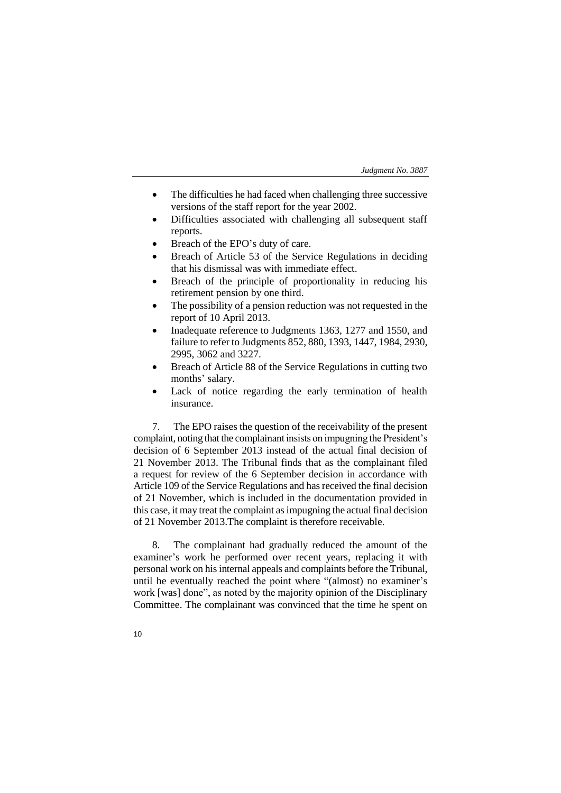- The difficulties he had faced when challenging three successive versions of the staff report for the year 2002.
- Difficulties associated with challenging all subsequent staff reports.
- Breach of the EPO's duty of care.
- Breach of Article 53 of the Service Regulations in deciding that his dismissal was with immediate effect.
- Breach of the principle of proportionality in reducing his retirement pension by one third.
- The possibility of a pension reduction was not requested in the report of 10 April 2013.
- Inadequate reference to Judgments 1363, 1277 and 1550, and failure to refer to Judgments 852, 880, 1393, 1447, 1984, 2930, 2995, 3062 and 3227.
- Breach of Article 88 of the Service Regulations in cutting two months' salary.
- Lack of notice regarding the early termination of health insurance.

7. The EPO raises the question of the receivability of the present complaint, noting that the complainant insists on impugning the President's decision of 6 September 2013 instead of the actual final decision of 21 November 2013. The Tribunal finds that as the complainant filed a request for review of the 6 September decision in accordance with Article 109 of the Service Regulations and has received the final decision of 21 November, which is included in the documentation provided in this case, it may treat the complaint as impugning the actual final decision of 21 November 2013.The complaint is therefore receivable.

8. The complainant had gradually reduced the amount of the examiner's work he performed over recent years, replacing it with personal work on his internal appeals and complaints before the Tribunal, until he eventually reached the point where "(almost) no examiner's work [was] done", as noted by the majority opinion of the Disciplinary Committee. The complainant was convinced that the time he spent on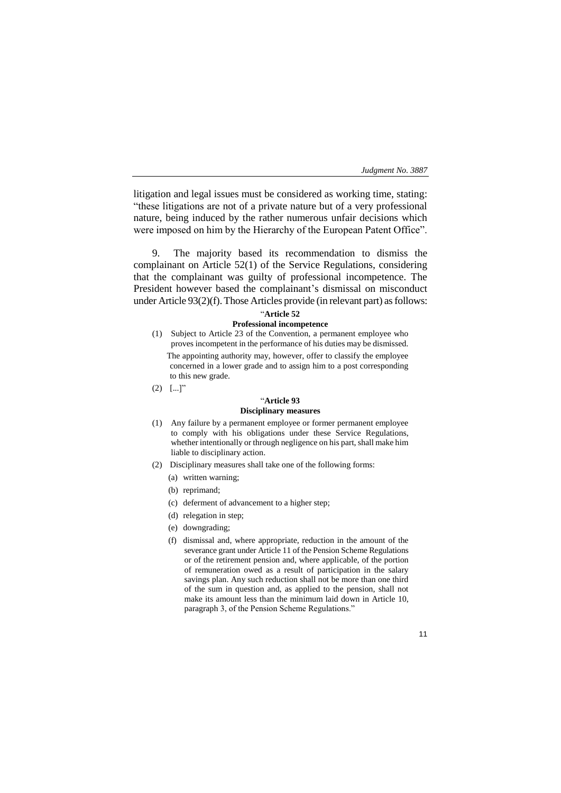litigation and legal issues must be considered as working time, stating: "these litigations are not of a private nature but of a very professional nature, being induced by the rather numerous unfair decisions which were imposed on him by the Hierarchy of the European Patent Office".

9. The majority based its recommendation to dismiss the complainant on Article 52(1) of the Service Regulations, considering that the complainant was guilty of professional incompetence. The President however based the complainant's dismissal on misconduct under Article 93(2)(f). Those Articles provide (in relevant part) as follows:

## "**Article 52**

## **Professional incompetence**

- (1) Subject to Article 23 of the Convention, a permanent employee who proves incompetent in the performance of his duties may be dismissed. The appointing authority may, however, offer to classify the employee concerned in a lower grade and to assign him to a post corresponding to this new grade.
- $(2)$  [...]"

# "**Article 93**

# **Disciplinary measures**

- (1) Any failure by a permanent employee or former permanent employee to comply with his obligations under these Service Regulations, whether intentionally or through negligence on his part, shall make him liable to disciplinary action.
- (2) Disciplinary measures shall take one of the following forms:
	- (a) written warning;
	- (b) reprimand;
	- (c) deferment of advancement to a higher step;
	- (d) relegation in step;
	- (e) downgrading;
	- (f) dismissal and, where appropriate, reduction in the amount of the severance grant under Article 11 of the Pension Scheme Regulations or of the retirement pension and, where applicable, of the portion of remuneration owed as a result of participation in the salary savings plan. Any such reduction shall not be more than one third of the sum in question and, as applied to the pension, shall not make its amount less than the minimum laid down in Article 10, paragraph 3, of the Pension Scheme Regulations."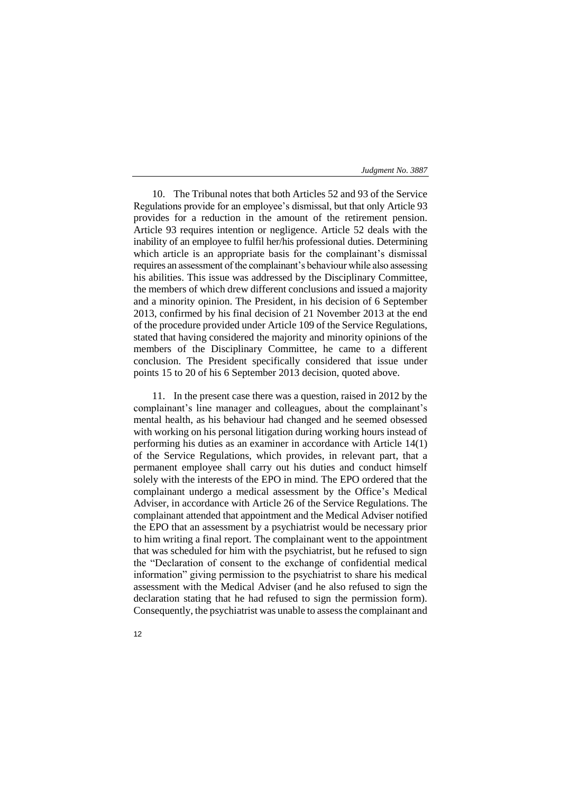10. The Tribunal notes that both Articles 52 and 93 of the Service Regulations provide for an employee's dismissal, but that only Article 93 provides for a reduction in the amount of the retirement pension. Article 93 requires intention or negligence. Article 52 deals with the inability of an employee to fulfil her/his professional duties. Determining which article is an appropriate basis for the complainant's dismissal requires an assessment of the complainant's behaviour while also assessing his abilities. This issue was addressed by the Disciplinary Committee, the members of which drew different conclusions and issued a majority and a minority opinion. The President, in his decision of 6 September 2013, confirmed by his final decision of 21 November 2013 at the end of the procedure provided under Article 109 of the Service Regulations, stated that having considered the majority and minority opinions of the members of the Disciplinary Committee, he came to a different conclusion. The President specifically considered that issue under points 15 to 20 of his 6 September 2013 decision, quoted above.

11. In the present case there was a question, raised in 2012 by the complainant's line manager and colleagues, about the complainant's mental health, as his behaviour had changed and he seemed obsessed with working on his personal litigation during working hours instead of performing his duties as an examiner in accordance with Article 14(1) of the Service Regulations, which provides, in relevant part, that a permanent employee shall carry out his duties and conduct himself solely with the interests of the EPO in mind. The EPO ordered that the complainant undergo a medical assessment by the Office's Medical Adviser, in accordance with Article 26 of the Service Regulations. The complainant attended that appointment and the Medical Adviser notified the EPO that an assessment by a psychiatrist would be necessary prior to him writing a final report. The complainant went to the appointment that was scheduled for him with the psychiatrist, but he refused to sign the "Declaration of consent to the exchange of confidential medical information" giving permission to the psychiatrist to share his medical assessment with the Medical Adviser (and he also refused to sign the declaration stating that he had refused to sign the permission form). Consequently, the psychiatrist was unable to assess the complainant and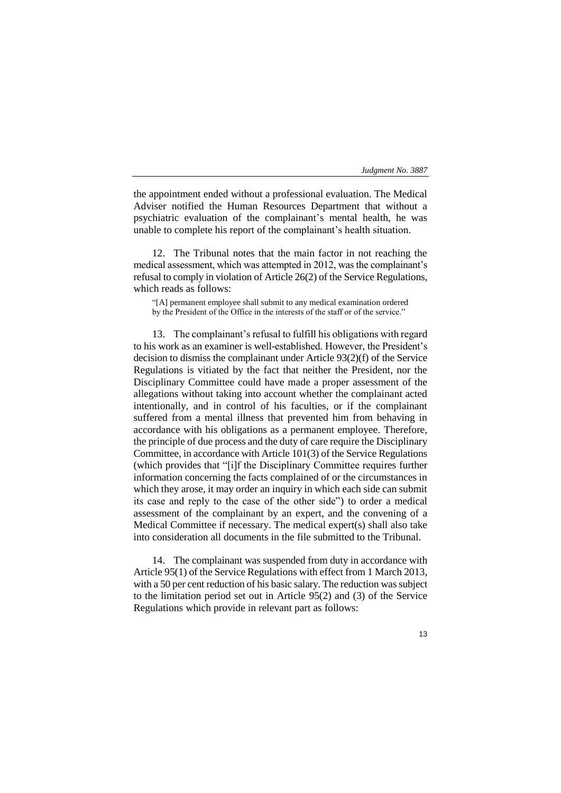the appointment ended without a professional evaluation. The Medical Adviser notified the Human Resources Department that without a psychiatric evaluation of the complainant's mental health, he was unable to complete his report of the complainant's health situation.

12. The Tribunal notes that the main factor in not reaching the medical assessment, which was attempted in 2012, was the complainant's refusal to comply in violation of Article 26(2) of the Service Regulations, which reads as follows:

"[A] permanent employee shall submit to any medical examination ordered by the President of the Office in the interests of the staff or of the service."

13. The complainant's refusal to fulfill his obligations with regard to his work as an examiner is well-established. However, the President's decision to dismiss the complainant under Article 93(2)(f) of the Service Regulations is vitiated by the fact that neither the President, nor the Disciplinary Committee could have made a proper assessment of the allegations without taking into account whether the complainant acted intentionally, and in control of his faculties, or if the complainant suffered from a mental illness that prevented him from behaving in accordance with his obligations as a permanent employee. Therefore, the principle of due process and the duty of care require the Disciplinary Committee, in accordance with Article 101(3) of the Service Regulations (which provides that "[i]f the Disciplinary Committee requires further information concerning the facts complained of or the circumstances in which they arose, it may order an inquiry in which each side can submit its case and reply to the case of the other side") to order a medical assessment of the complainant by an expert, and the convening of a Medical Committee if necessary. The medical expert(s) shall also take into consideration all documents in the file submitted to the Tribunal.

14. The complainant was suspended from duty in accordance with Article 95(1) of the Service Regulations with effect from 1 March 2013, with a 50 per cent reduction of his basic salary. The reduction was subject to the limitation period set out in Article 95(2) and (3) of the Service Regulations which provide in relevant part as follows: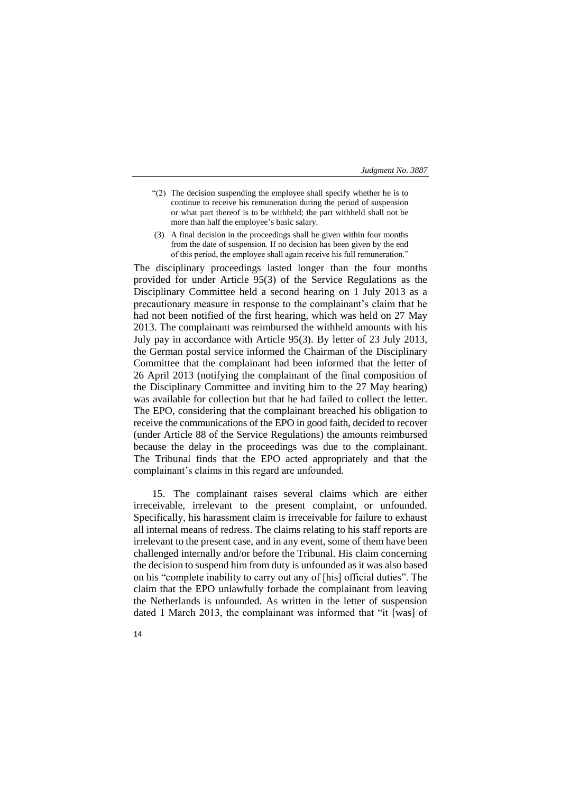- "(2) The decision suspending the employee shall specify whether he is to continue to receive his remuneration during the period of suspension or what part thereof is to be withheld; the part withheld shall not be more than half the employee's basic salary.
- (3) A final decision in the proceedings shall be given within four months from the date of suspension. If no decision has been given by the end of this period, the employee shall again receive his full remuneration."

The disciplinary proceedings lasted longer than the four months provided for under Article 95(3) of the Service Regulations as the Disciplinary Committee held a second hearing on 1 July 2013 as a precautionary measure in response to the complainant's claim that he had not been notified of the first hearing, which was held on 27 May 2013. The complainant was reimbursed the withheld amounts with his July pay in accordance with Article 95(3). By letter of 23 July 2013, the German postal service informed the Chairman of the Disciplinary Committee that the complainant had been informed that the letter of 26 April 2013 (notifying the complainant of the final composition of the Disciplinary Committee and inviting him to the 27 May hearing) was available for collection but that he had failed to collect the letter. The EPO, considering that the complainant breached his obligation to receive the communications of the EPO in good faith, decided to recover (under Article 88 of the Service Regulations) the amounts reimbursed because the delay in the proceedings was due to the complainant. The Tribunal finds that the EPO acted appropriately and that the complainant's claims in this regard are unfounded.

15. The complainant raises several claims which are either irreceivable, irrelevant to the present complaint, or unfounded. Specifically, his harassment claim is irreceivable for failure to exhaust all internal means of redress. The claims relating to his staff reports are irrelevant to the present case, and in any event, some of them have been challenged internally and/or before the Tribunal. His claim concerning the decision to suspend him from duty is unfounded as it was also based on his "complete inability to carry out any of [his] official duties". The claim that the EPO unlawfully forbade the complainant from leaving the Netherlands is unfounded. As written in the letter of suspension dated 1 March 2013, the complainant was informed that "it [was] of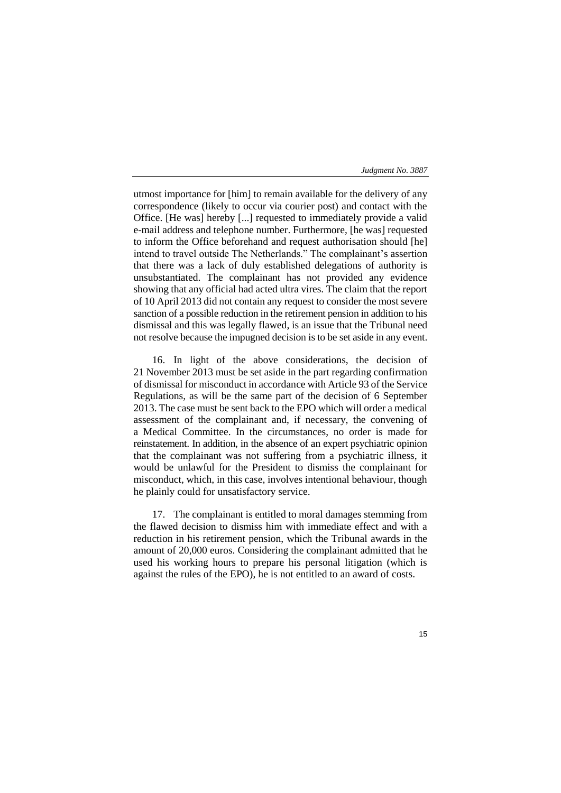utmost importance for [him] to remain available for the delivery of any correspondence (likely to occur via courier post) and contact with the Office. [He was] hereby [...] requested to immediately provide a valid e-mail address and telephone number. Furthermore, [he was] requested to inform the Office beforehand and request authorisation should [he] intend to travel outside The Netherlands." The complainant's assertion that there was a lack of duly established delegations of authority is unsubstantiated. The complainant has not provided any evidence showing that any official had acted ultra vires. The claim that the report of 10 April 2013 did not contain any request to consider the most severe sanction of a possible reduction in the retirement pension in addition to his dismissal and this was legally flawed, is an issue that the Tribunal need not resolve because the impugned decision is to be set aside in any event.

16. In light of the above considerations, the decision of 21 November 2013 must be set aside in the part regarding confirmation of dismissal for misconduct in accordance with Article 93 of the Service Regulations, as will be the same part of the decision of 6 September 2013. The case must be sent back to the EPO which will order a medical assessment of the complainant and, if necessary, the convening of a Medical Committee. In the circumstances, no order is made for reinstatement. In addition, in the absence of an expert psychiatric opinion that the complainant was not suffering from a psychiatric illness, it would be unlawful for the President to dismiss the complainant for misconduct, which, in this case, involves intentional behaviour, though he plainly could for unsatisfactory service.

17. The complainant is entitled to moral damages stemming from the flawed decision to dismiss him with immediate effect and with a reduction in his retirement pension, which the Tribunal awards in the amount of 20,000 euros. Considering the complainant admitted that he used his working hours to prepare his personal litigation (which is against the rules of the EPO), he is not entitled to an award of costs.